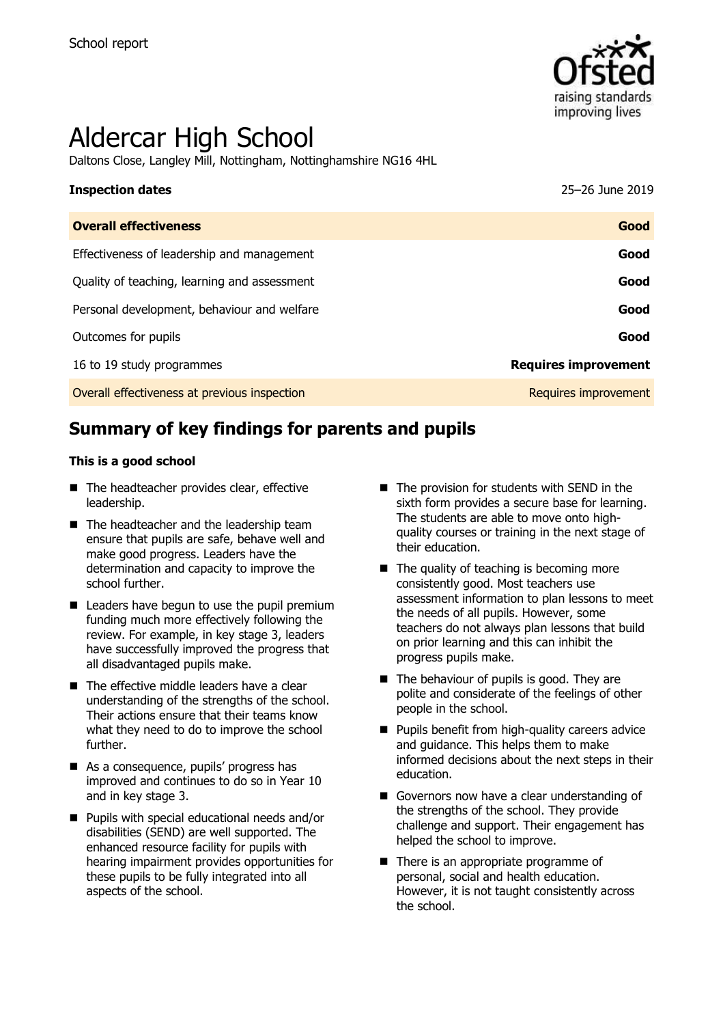

# Aldercar High School

Daltons Close, Langley Mill, Nottingham, Nottinghamshire NG16 4HL

| <b>Inspection dates</b>                      | 25-26 June 2019             |
|----------------------------------------------|-----------------------------|
| <b>Overall effectiveness</b>                 | Good                        |
| Effectiveness of leadership and management   | Good                        |
| Quality of teaching, learning and assessment | Good                        |
| Personal development, behaviour and welfare  | Good                        |
| Outcomes for pupils                          | Good                        |
| 16 to 19 study programmes                    | <b>Requires improvement</b> |
| Overall effectiveness at previous inspection | Requires improvement        |

# **Summary of key findings for parents and pupils**

#### **This is a good school**

- The headteacher provides clear, effective leadership.
- The headteacher and the leadership team ensure that pupils are safe, behave well and make good progress. Leaders have the determination and capacity to improve the school further.
- Leaders have begun to use the pupil premium funding much more effectively following the review. For example, in key stage 3, leaders have successfully improved the progress that all disadvantaged pupils make.
- The effective middle leaders have a clear understanding of the strengths of the school. Their actions ensure that their teams know what they need to do to improve the school further.
- As a consequence, pupils' progress has improved and continues to do so in Year 10 and in key stage 3.
- **Pupils with special educational needs and/or** disabilities (SEND) are well supported. The enhanced resource facility for pupils with hearing impairment provides opportunities for these pupils to be fully integrated into all aspects of the school.
- $\blacksquare$  The provision for students with SEND in the sixth form provides a secure base for learning. The students are able to move onto highquality courses or training in the next stage of their education.
- $\blacksquare$  The quality of teaching is becoming more consistently good. Most teachers use assessment information to plan lessons to meet the needs of all pupils. However, some teachers do not always plan lessons that build on prior learning and this can inhibit the progress pupils make.
- $\blacksquare$  The behaviour of pupils is good. They are polite and considerate of the feelings of other people in the school.
- $\blacksquare$  Pupils benefit from high-quality careers advice and guidance. This helps them to make informed decisions about the next steps in their education.
- Governors now have a clear understanding of the strengths of the school. They provide challenge and support. Their engagement has helped the school to improve.
- There is an appropriate programme of personal, social and health education. However, it is not taught consistently across the school.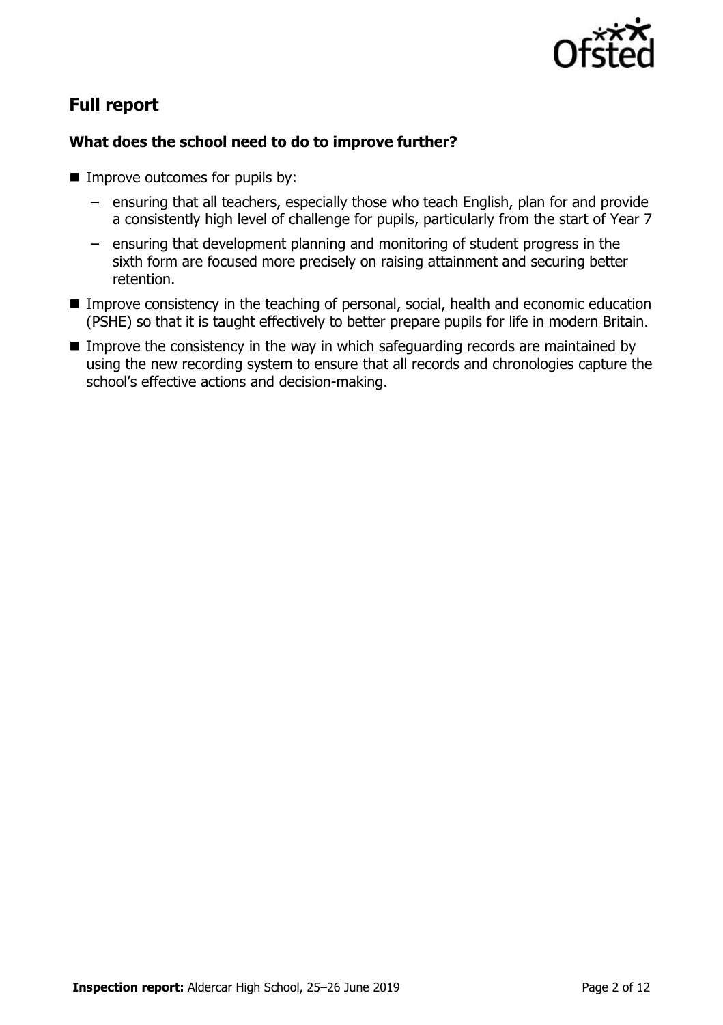

# **Full report**

### **What does the school need to do to improve further?**

- **IMPROVE OUTCOMES for pupils by:** 
	- ensuring that all teachers, especially those who teach English, plan for and provide a consistently high level of challenge for pupils, particularly from the start of Year 7
	- ensuring that development planning and monitoring of student progress in the sixth form are focused more precisely on raising attainment and securing better retention.
- **Improve consistency in the teaching of personal, social, health and economic education** (PSHE) so that it is taught effectively to better prepare pupils for life in modern Britain.
- **IMPROVE THE CONSTRUCTS IN THE WAY ATTE IN STATE CONSTRUCTS** In Improve the consistency in the way in which safeguarding records are maintained by using the new recording system to ensure that all records and chronologies capture the school's effective actions and decision-making.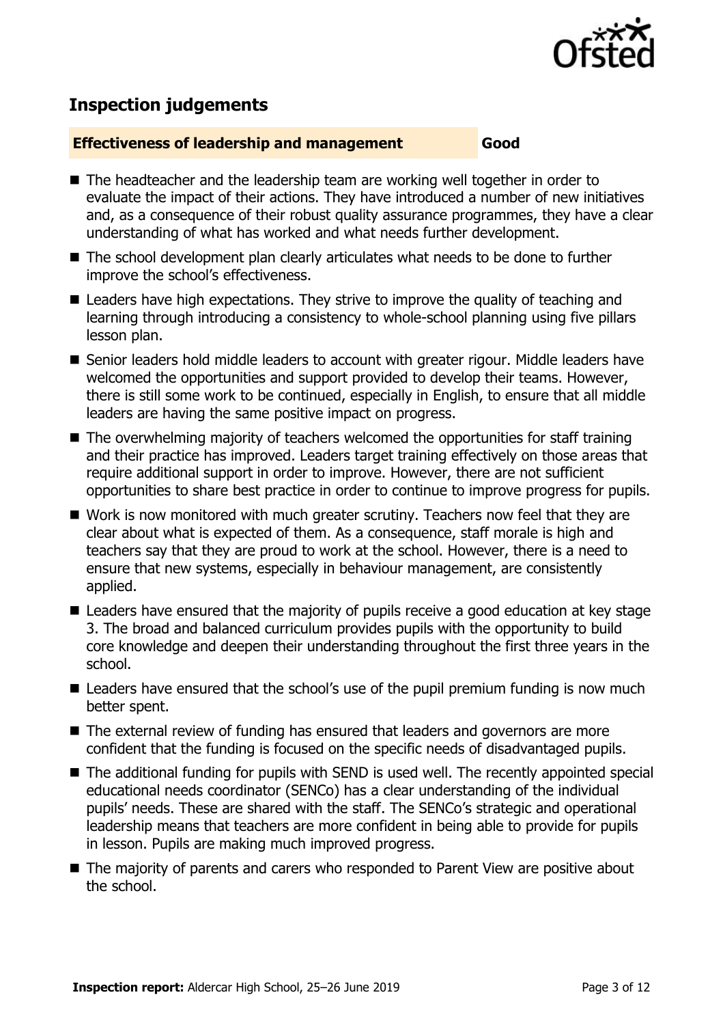

# **Inspection judgements**

#### **Effectiveness of leadership and management Good**

- The headteacher and the leadership team are working well together in order to evaluate the impact of their actions. They have introduced a number of new initiatives and, as a consequence of their robust quality assurance programmes, they have a clear understanding of what has worked and what needs further development.
- The school development plan clearly articulates what needs to be done to further improve the school's effectiveness.
- Leaders have high expectations. They strive to improve the quality of teaching and learning through introducing a consistency to whole-school planning using five pillars lesson plan.
- Senior leaders hold middle leaders to account with greater rigour. Middle leaders have welcomed the opportunities and support provided to develop their teams. However, there is still some work to be continued, especially in English, to ensure that all middle leaders are having the same positive impact on progress.
- The overwhelming majority of teachers welcomed the opportunities for staff training and their practice has improved. Leaders target training effectively on those areas that require additional support in order to improve. However, there are not sufficient opportunities to share best practice in order to continue to improve progress for pupils.
- Work is now monitored with much greater scrutiny. Teachers now feel that they are clear about what is expected of them. As a consequence, staff morale is high and teachers say that they are proud to work at the school. However, there is a need to ensure that new systems, especially in behaviour management, are consistently applied.
- Leaders have ensured that the majority of pupils receive a good education at key stage 3. The broad and balanced curriculum provides pupils with the opportunity to build core knowledge and deepen their understanding throughout the first three years in the school.
- Leaders have ensured that the school's use of the pupil premium funding is now much better spent.
- The external review of funding has ensured that leaders and governors are more confident that the funding is focused on the specific needs of disadvantaged pupils.
- The additional funding for pupils with SEND is used well. The recently appointed special educational needs coordinator (SENCo) has a clear understanding of the individual pupils' needs. These are shared with the staff. The SENCo's strategic and operational leadership means that teachers are more confident in being able to provide for pupils in lesson. Pupils are making much improved progress.
- The majority of parents and carers who responded to Parent View are positive about the school.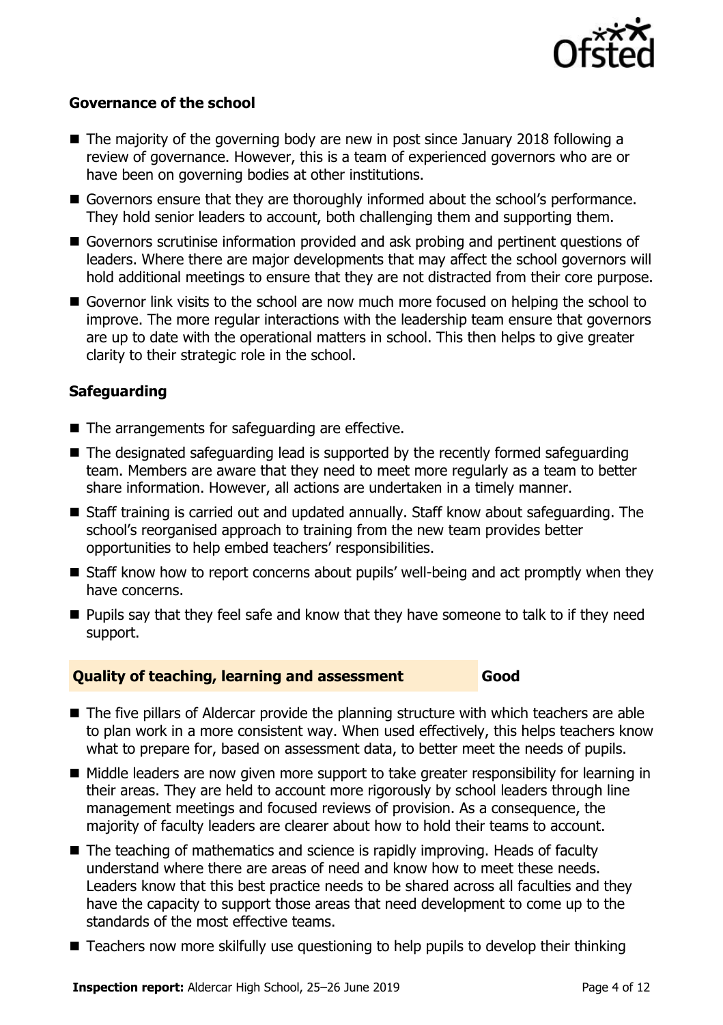

#### **Governance of the school**

- $\blacksquare$  The majority of the governing body are new in post since January 2018 following a review of governance. However, this is a team of experienced governors who are or have been on governing bodies at other institutions.
- Governors ensure that they are thoroughly informed about the school's performance. They hold senior leaders to account, both challenging them and supporting them.
- Governors scrutinise information provided and ask probing and pertinent questions of leaders. Where there are major developments that may affect the school governors will hold additional meetings to ensure that they are not distracted from their core purpose.
- Governor link visits to the school are now much more focused on helping the school to improve. The more regular interactions with the leadership team ensure that governors are up to date with the operational matters in school. This then helps to give greater clarity to their strategic role in the school.

#### **Safeguarding**

- The arrangements for safeguarding are effective.
- The designated safeguarding lead is supported by the recently formed safeguarding team. Members are aware that they need to meet more regularly as a team to better share information. However, all actions are undertaken in a timely manner.
- Staff training is carried out and updated annually. Staff know about safeguarding. The school's reorganised approach to training from the new team provides better opportunities to help embed teachers' responsibilities.
- Staff know how to report concerns about pupils' well-being and act promptly when they have concerns.
- **Pupils say that they feel safe and know that they have someone to talk to if they need** support.

#### **Quality of teaching, learning and assessment Good**

- The five pillars of Aldercar provide the planning structure with which teachers are able to plan work in a more consistent way. When used effectively, this helps teachers know what to prepare for, based on assessment data, to better meet the needs of pupils.
- Middle leaders are now given more support to take greater responsibility for learning in their areas. They are held to account more rigorously by school leaders through line management meetings and focused reviews of provision. As a consequence, the majority of faculty leaders are clearer about how to hold their teams to account.
- The teaching of mathematics and science is rapidly improving. Heads of faculty understand where there are areas of need and know how to meet these needs. Leaders know that this best practice needs to be shared across all faculties and they have the capacity to support those areas that need development to come up to the standards of the most effective teams.
- Teachers now more skilfully use questioning to help pupils to develop their thinking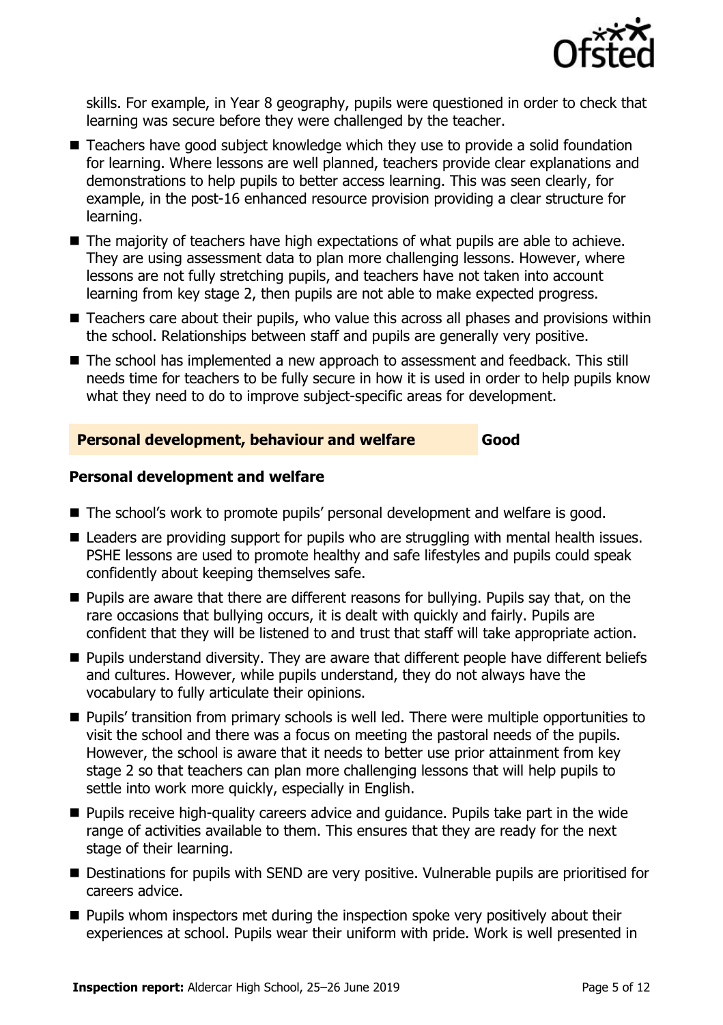

skills. For example, in Year 8 geography, pupils were questioned in order to check that learning was secure before they were challenged by the teacher.

- Teachers have good subject knowledge which they use to provide a solid foundation for learning. Where lessons are well planned, teachers provide clear explanations and demonstrations to help pupils to better access learning. This was seen clearly, for example, in the post-16 enhanced resource provision providing a clear structure for learning.
- The majority of teachers have high expectations of what pupils are able to achieve. They are using assessment data to plan more challenging lessons. However, where lessons are not fully stretching pupils, and teachers have not taken into account learning from key stage 2, then pupils are not able to make expected progress.
- Teachers care about their pupils, who value this across all phases and provisions within the school. Relationships between staff and pupils are generally very positive.
- The school has implemented a new approach to assessment and feedback. This still needs time for teachers to be fully secure in how it is used in order to help pupils know what they need to do to improve subject-specific areas for development.

#### **Personal development, behaviour and welfare Good**

#### **Personal development and welfare**

- The school's work to promote pupils' personal development and welfare is good.
- Leaders are providing support for pupils who are struggling with mental health issues. PSHE lessons are used to promote healthy and safe lifestyles and pupils could speak confidently about keeping themselves safe.
- **Pupils are aware that there are different reasons for bullying. Pupils say that, on the** rare occasions that bullying occurs, it is dealt with quickly and fairly. Pupils are confident that they will be listened to and trust that staff will take appropriate action.
- **Pupils understand diversity. They are aware that different people have different beliefs** and cultures. However, while pupils understand, they do not always have the vocabulary to fully articulate their opinions.
- **Pupils' transition from primary schools is well led. There were multiple opportunities to** visit the school and there was a focus on meeting the pastoral needs of the pupils. However, the school is aware that it needs to better use prior attainment from key stage 2 so that teachers can plan more challenging lessons that will help pupils to settle into work more quickly, especially in English.
- **Pupils receive high-quality careers advice and quidance. Pupils take part in the wide** range of activities available to them. This ensures that they are ready for the next stage of their learning.
- Destinations for pupils with SEND are very positive. Vulnerable pupils are prioritised for careers advice.
- **Pupils whom inspectors met during the inspection spoke very positively about their** experiences at school. Pupils wear their uniform with pride. Work is well presented in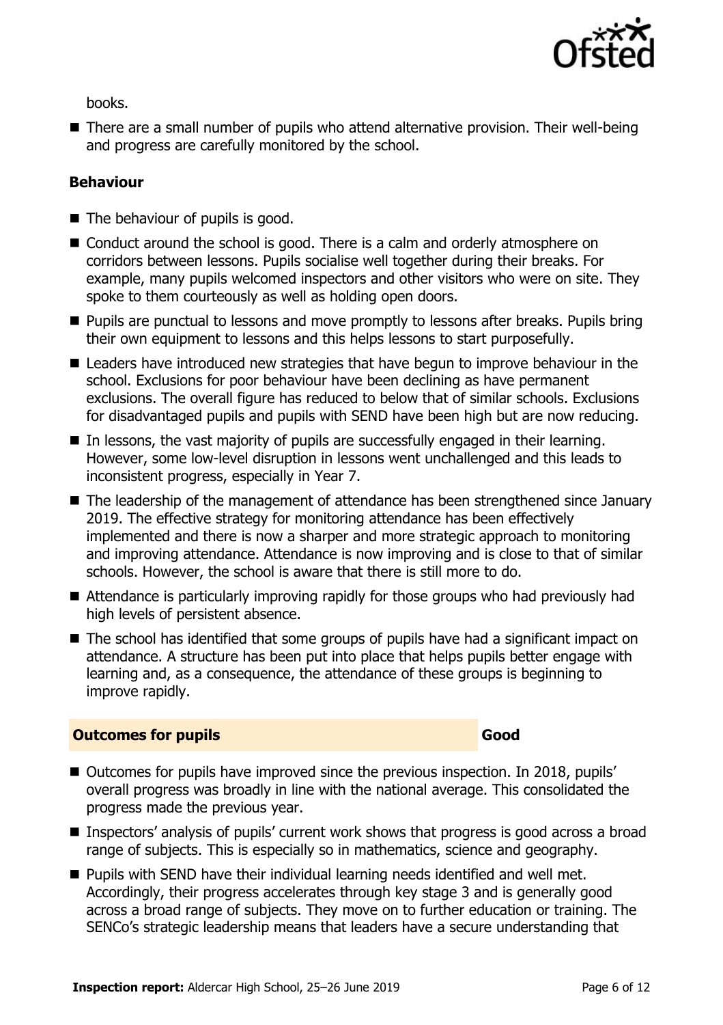

books.

■ There are a small number of pupils who attend alternative provision. Their well-being and progress are carefully monitored by the school.

#### **Behaviour**

- The behaviour of pupils is good.
- Conduct around the school is good. There is a calm and orderly atmosphere on corridors between lessons. Pupils socialise well together during their breaks. For example, many pupils welcomed inspectors and other visitors who were on site. They spoke to them courteously as well as holding open doors.
- **Pupils are punctual to lessons and move promptly to lessons after breaks. Pupils bring** their own equipment to lessons and this helps lessons to start purposefully.
- Leaders have introduced new strategies that have begun to improve behaviour in the school. Exclusions for poor behaviour have been declining as have permanent exclusions. The overall figure has reduced to below that of similar schools. Exclusions for disadvantaged pupils and pupils with SEND have been high but are now reducing.
- In lessons, the vast majority of pupils are successfully engaged in their learning. However, some low-level disruption in lessons went unchallenged and this leads to inconsistent progress, especially in Year 7.
- The leadership of the management of attendance has been strengthened since January 2019. The effective strategy for monitoring attendance has been effectively implemented and there is now a sharper and more strategic approach to monitoring and improving attendance. Attendance is now improving and is close to that of similar schools. However, the school is aware that there is still more to do.
- Attendance is particularly improving rapidly for those groups who had previously had high levels of persistent absence.
- The school has identified that some groups of pupils have had a significant impact on attendance. A structure has been put into place that helps pupils better engage with learning and, as a consequence, the attendance of these groups is beginning to improve rapidly.

#### **Outcomes for pupils Good**

- Outcomes for pupils have improved since the previous inspection. In 2018, pupils' overall progress was broadly in line with the national average. This consolidated the progress made the previous year.
- Inspectors' analysis of pupils' current work shows that progress is good across a broad range of subjects. This is especially so in mathematics, science and geography.
- **Pupils with SEND have their individual learning needs identified and well met.** Accordingly, their progress accelerates through key stage 3 and is generally good across a broad range of subjects. They move on to further education or training. The SENCo's strategic leadership means that leaders have a secure understanding that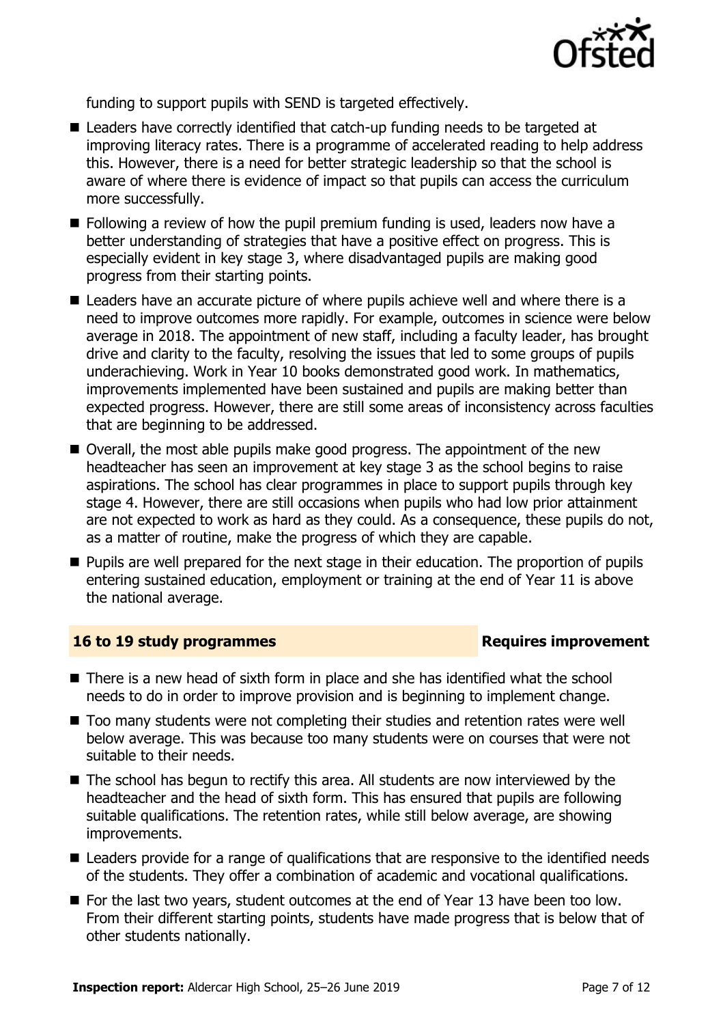

funding to support pupils with SEND is targeted effectively.

- Leaders have correctly identified that catch-up funding needs to be targeted at improving literacy rates. There is a programme of accelerated reading to help address this. However, there is a need for better strategic leadership so that the school is aware of where there is evidence of impact so that pupils can access the curriculum more successfully.
- $\blacksquare$  Following a review of how the pupil premium funding is used, leaders now have a better understanding of strategies that have a positive effect on progress. This is especially evident in key stage 3, where disadvantaged pupils are making good progress from their starting points.
- Leaders have an accurate picture of where pupils achieve well and where there is a need to improve outcomes more rapidly. For example, outcomes in science were below average in 2018. The appointment of new staff, including a faculty leader, has brought drive and clarity to the faculty, resolving the issues that led to some groups of pupils underachieving. Work in Year 10 books demonstrated good work. In mathematics, improvements implemented have been sustained and pupils are making better than expected progress. However, there are still some areas of inconsistency across faculties that are beginning to be addressed.
- Overall, the most able pupils make good progress. The appointment of the new headteacher has seen an improvement at key stage 3 as the school begins to raise aspirations. The school has clear programmes in place to support pupils through key stage 4. However, there are still occasions when pupils who had low prior attainment are not expected to work as hard as they could. As a consequence, these pupils do not, as a matter of routine, make the progress of which they are capable.
- **Pupils are well prepared for the next stage in their education. The proportion of pupils** entering sustained education, employment or training at the end of Year 11 is above the national average.

#### **16 to 19 study programmes Requires improvement**

- There is a new head of sixth form in place and she has identified what the school needs to do in order to improve provision and is beginning to implement change.
- Too many students were not completing their studies and retention rates were well below average. This was because too many students were on courses that were not suitable to their needs.
- The school has begun to rectify this area. All students are now interviewed by the headteacher and the head of sixth form. This has ensured that pupils are following suitable qualifications. The retention rates, while still below average, are showing improvements.
- Leaders provide for a range of qualifications that are responsive to the identified needs of the students. They offer a combination of academic and vocational qualifications.
- For the last two years, student outcomes at the end of Year 13 have been too low. From their different starting points, students have made progress that is below that of other students nationally.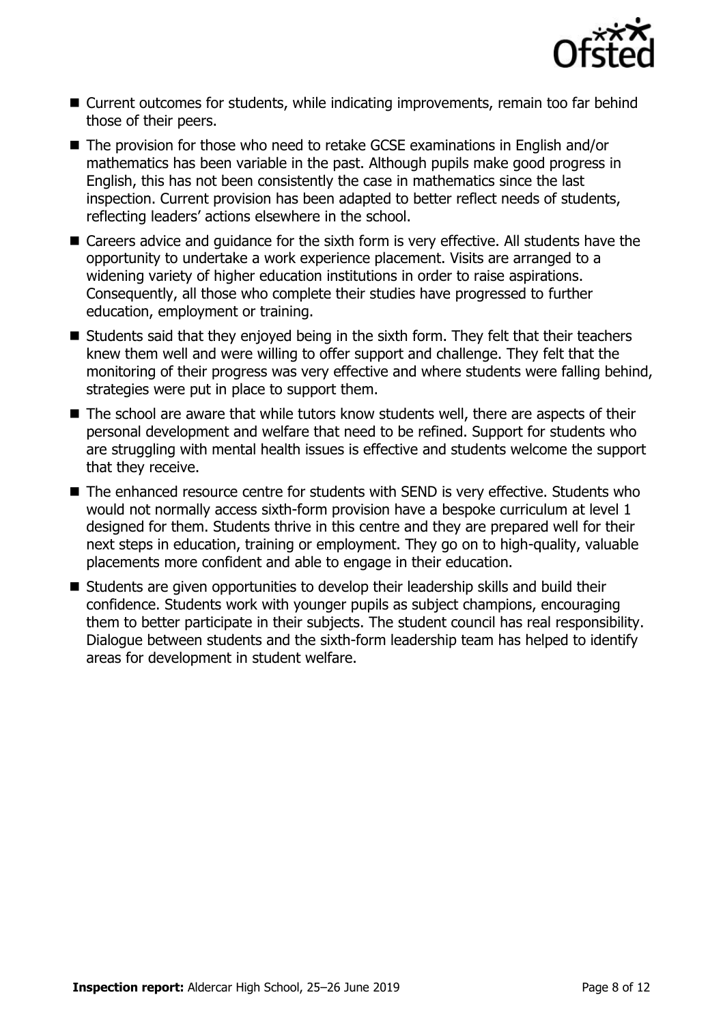

- Current outcomes for students, while indicating improvements, remain too far behind those of their peers.
- The provision for those who need to retake GCSE examinations in English and/or mathematics has been variable in the past. Although pupils make good progress in English, this has not been consistently the case in mathematics since the last inspection. Current provision has been adapted to better reflect needs of students, reflecting leaders' actions elsewhere in the school.
- Careers advice and quidance for the sixth form is very effective. All students have the opportunity to undertake a work experience placement. Visits are arranged to a widening variety of higher education institutions in order to raise aspirations. Consequently, all those who complete their studies have progressed to further education, employment or training.
- Students said that they enjoyed being in the sixth form. They felt that their teachers knew them well and were willing to offer support and challenge. They felt that the monitoring of their progress was very effective and where students were falling behind, strategies were put in place to support them.
- The school are aware that while tutors know students well, there are aspects of their personal development and welfare that need to be refined. Support for students who are struggling with mental health issues is effective and students welcome the support that they receive.
- The enhanced resource centre for students with SEND is very effective. Students who would not normally access sixth-form provision have a bespoke curriculum at level 1 designed for them. Students thrive in this centre and they are prepared well for their next steps in education, training or employment. They go on to high-quality, valuable placements more confident and able to engage in their education.
- Students are given opportunities to develop their leadership skills and build their confidence. Students work with younger pupils as subject champions, encouraging them to better participate in their subjects. The student council has real responsibility. Dialogue between students and the sixth-form leadership team has helped to identify areas for development in student welfare.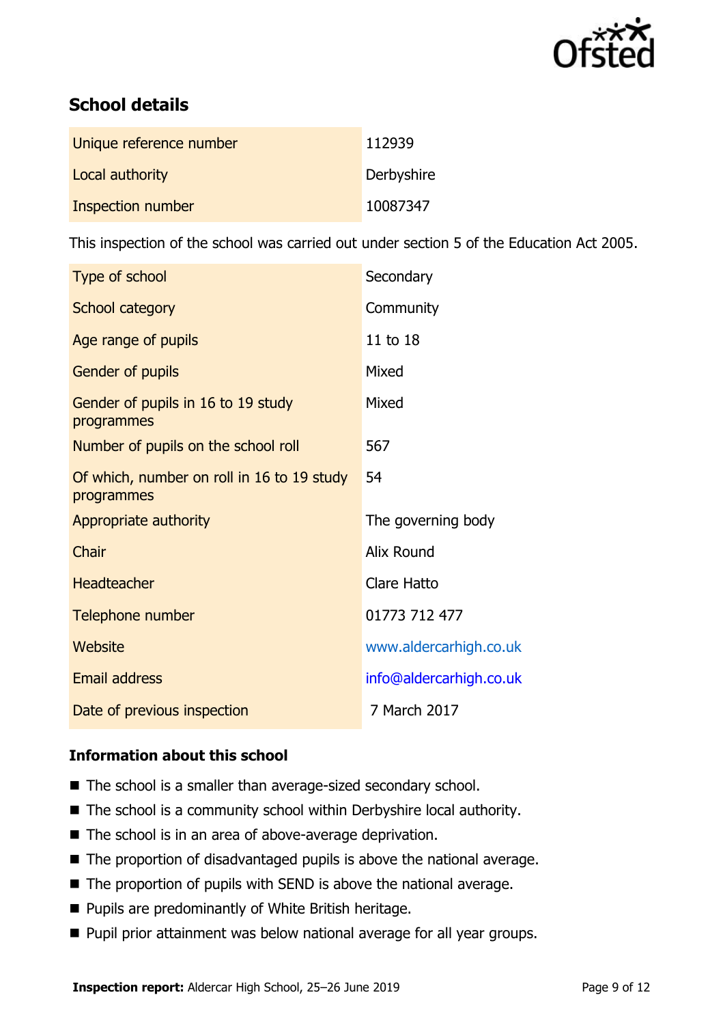

# **School details**

| Unique reference number | 112939     |
|-------------------------|------------|
| Local authority         | Derbyshire |
| Inspection number       | 10087347   |

This inspection of the school was carried out under section 5 of the Education Act 2005.

| Type of school                                           | Secondary               |
|----------------------------------------------------------|-------------------------|
| School category                                          | Community               |
| Age range of pupils                                      | 11 to 18                |
| Gender of pupils                                         | Mixed                   |
| Gender of pupils in 16 to 19 study<br>programmes         | Mixed                   |
| Number of pupils on the school roll                      | 567                     |
| Of which, number on roll in 16 to 19 study<br>programmes | 54                      |
| Appropriate authority                                    | The governing body      |
| Chair                                                    | <b>Alix Round</b>       |
| Headteacher                                              | <b>Clare Hatto</b>      |
| Telephone number                                         | 01773 712 477           |
| Website                                                  | www.aldercarhigh.co.uk  |
| <b>Email address</b>                                     | info@aldercarhigh.co.uk |
| Date of previous inspection                              | 7 March 2017            |

#### **Information about this school**

- The school is a smaller than average-sized secondary school.
- The school is a community school within Derbyshire local authority.
- The school is in an area of above-average deprivation.
- The proportion of disadvantaged pupils is above the national average.
- The proportion of pupils with SEND is above the national average.
- **Pupils are predominantly of White British heritage.**
- **Pupil prior attainment was below national average for all year groups.**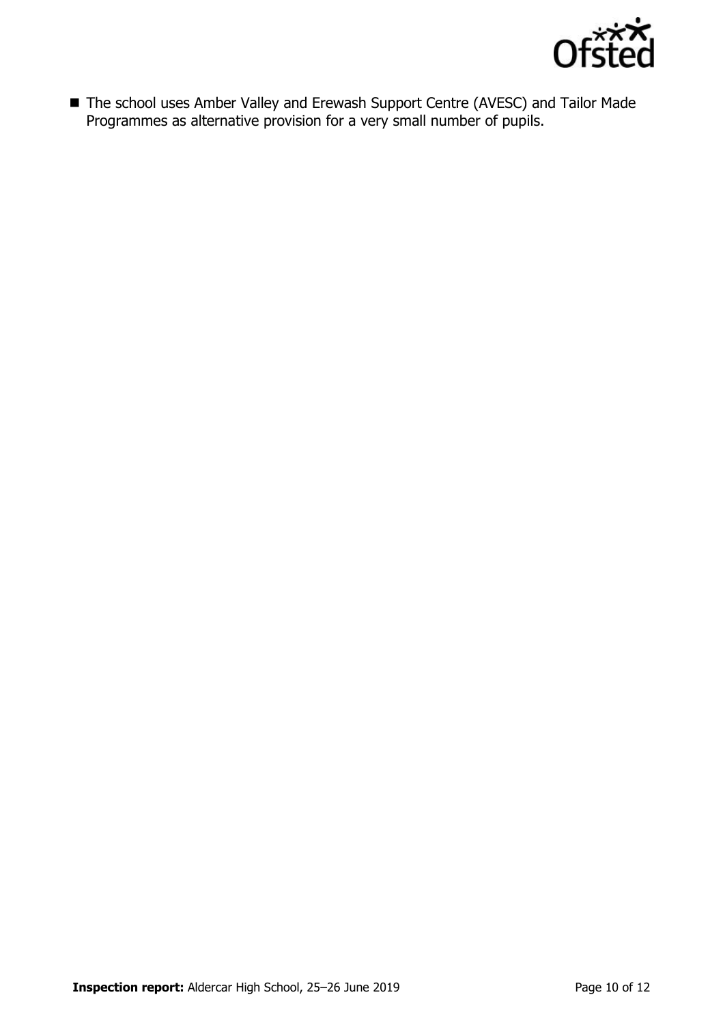

■ The school uses Amber Valley and Erewash Support Centre (AVESC) and Tailor Made Programmes as alternative provision for a very small number of pupils.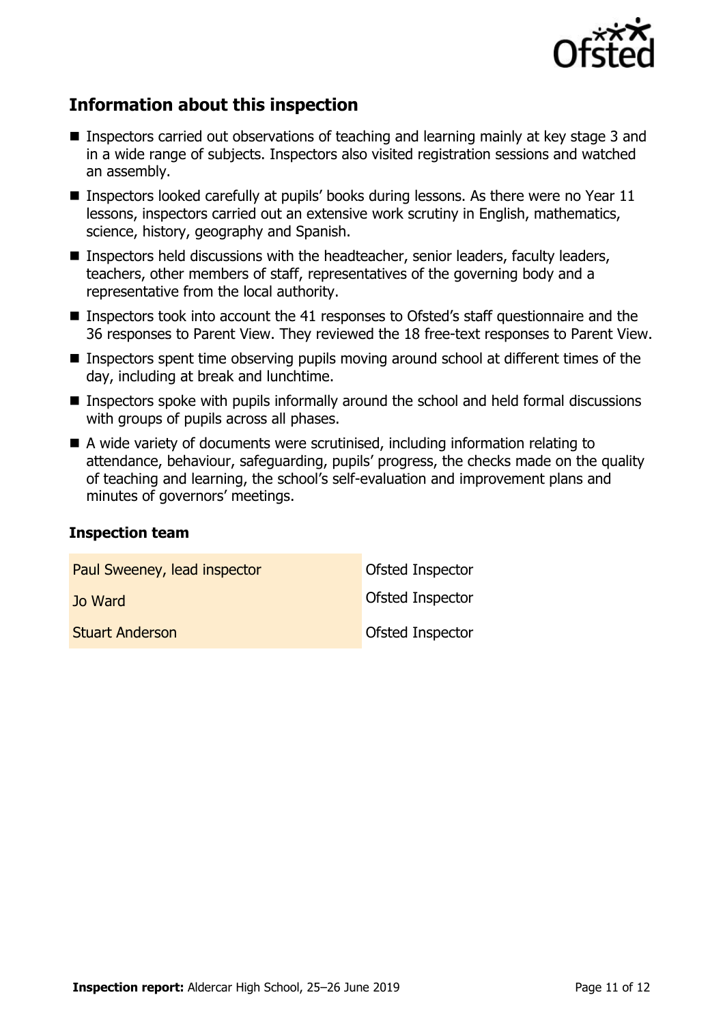

# **Information about this inspection**

- Inspectors carried out observations of teaching and learning mainly at key stage 3 and in a wide range of subjects. Inspectors also visited registration sessions and watched an assembly.
- **Inspectors looked carefully at pupils' books during lessons. As there were no Year 11** lessons, inspectors carried out an extensive work scrutiny in English, mathematics, science, history, geography and Spanish.
- Inspectors held discussions with the headteacher, senior leaders, faculty leaders, teachers, other members of staff, representatives of the governing body and a representative from the local authority.
- Inspectors took into account the 41 responses to Ofsted's staff questionnaire and the 36 responses to Parent View. They reviewed the 18 free-text responses to Parent View.
- Inspectors spent time observing pupils moving around school at different times of the day, including at break and lunchtime.
- $\blacksquare$  Inspectors spoke with pupils informally around the school and held formal discussions with groups of pupils across all phases.
- A wide variety of documents were scrutinised, including information relating to attendance, behaviour, safeguarding, pupils' progress, the checks made on the quality of teaching and learning, the school's self-evaluation and improvement plans and minutes of governors' meetings.

#### **Inspection team**

| Paul Sweeney, lead inspector | <b>Ofsted Inspector</b> |
|------------------------------|-------------------------|
| Jo Ward                      | <b>Ofsted Inspector</b> |
| <b>Stuart Anderson</b>       | <b>Ofsted Inspector</b> |